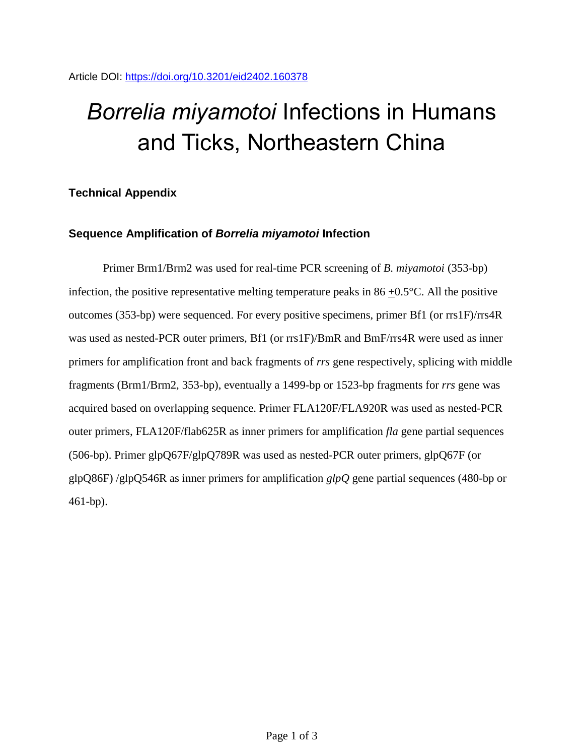# *Borrelia miyamotoi* Infections in Humans and Ticks, Northeastern China

## **Technical Appendix**

## **Sequence Amplification of** *Borrelia miyamotoi* **Infection**

Primer Brm1/Brm2 was used for real-time PCR screening of *B. miyamotoi* (353-bp) infection, the positive representative melting temperature peaks in 86  $\pm$ 0.5°C. All the positive outcomes (353-bp) were sequenced. For every positive specimens, primer Bf1 (or rrs1F)/rrs4R was used as nested-PCR outer primers, Bf1 (or rrs1F)/BmR and BmF/rrs4R were used as inner primers for amplification front and back fragments of *rrs* gene respectively, splicing with middle fragments (Brm1/Brm2, 353-bp), eventually a 1499-bp or 1523-bp fragments for *rrs* gene was acquired based on overlapping sequence. Primer FLA120F/FLA920R was used as nested-PCR outer primers, FLA120F/flab625R as inner primers for amplification *fla* gene partial sequences (506-bp). Primer glpQ67F/glpQ789R was used as nested-PCR outer primers, glpQ67F (or glpQ86F) /glpQ546R as inner primers for amplification *glpQ* gene partial sequences (480-bp or 461-bp).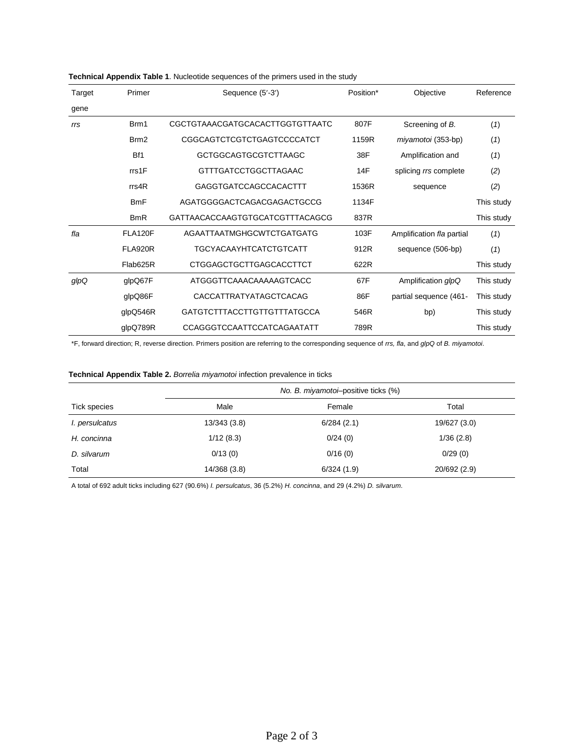| Target | Primer           | Position*<br>Objective<br>Sequence (5'-3') |       |                           | Reference  |
|--------|------------------|--------------------------------------------|-------|---------------------------|------------|
| gene   |                  |                                            |       |                           |            |
| rrs    | Brm1             | CGCTGTAAACGATGCACACTTGGTGTTAATC            | 807F  | Screening of B.           | (1)        |
|        | Brm <sub>2</sub> | CGGCAGTCTCGTCTGAGTCCCCATCT                 | 1159R | miyamotoi (353-bp)        | (1)        |
|        | Bf1              | <b>GCTGGCAGTGCGTCTTAAGC</b>                | 38F   | Amplification and         | (1)        |
|        | rrs1F            | <b>GTTTGATCCTGGCTTAGAAC</b>                | 14F   | splicing rrs complete     | (2)        |
|        | rrs4R            | GAGGTGATCCAGCCACACTTT                      | 1536R | sequence                  | (2)        |
|        | <b>BmF</b>       | AGATGGGGACTCAGACGAGACTGCCG                 | 1134F |                           | This study |
|        | <b>BmR</b>       | GATTAACACCAAGTGTGCATCGTTTACAGCG            | 837R  |                           | This study |
| fla    | <b>FLA120F</b>   | AGAATTAATMGHGCWTCTGATGATG                  | 103F  | Amplification fla partial | (1)        |
|        | <b>FLA920R</b>   | <b>TGCYACAAYHTCATCTGTCATT</b>              | 912R  | sequence (506-bp)         | (1)        |
|        | Flab625R         | <b>CTGGAGCTGCTTGAGCACCTTCT</b>             | 622R  |                           | This study |
| glpQ   | glpQ67F          | ATGGGTTCAAACAAAAAGTCACC                    | 67F   | Amplification glpQ        | This study |
|        | glpQ86F          | <b>CACCATTRATYATAGCTCACAG</b>              | 86F   | partial sequence (461-    | This study |
|        | glpQ546R         | <b>GATGTCTTTACCTTGTTGTTTATGCCA</b>         | 546R  | bp)                       | This study |
|        | glpQ789R         | <b>CCAGGGTCCAATTCCATCAGAATATT</b>          | 789R  |                           | This study |

#### **Technical Appendix Table 1**. Nucleotide sequences of the primers used in the study

\*F, forward direction; R, reverse direction. Primers position are referring to the corresponding sequence of *rrs, fla*, and *glpQ* of *B. miyamotoi*.

#### **Technical Appendix Table 2.** *Borrelia miyamotoi* infection prevalence in ticks

|                     | No. B. miyamotoi-positive ticks (%) |            |              |  |  |
|---------------------|-------------------------------------|------------|--------------|--|--|
| <b>Tick species</b> | Male                                | Female     | Total        |  |  |
| l. persulcatus      | 13/343 (3.8)                        | 6/284(2.1) | 19/627 (3.0) |  |  |
| H. concinna         | 1/12(8.3)                           | 0/24(0)    | 1/36(2.8)    |  |  |
| D. silvarum         | 0/13(0)                             | 0/16(0)    | 0/29(0)      |  |  |
| Total               | 14/368 (3.8)                        | 6/324(1.9) | 20/692 (2.9) |  |  |

A total of 692 adult ticks including 627 (90.6%) *I. persulcatus*, 36 (5.2%) *H. concinna*, and 29 (4.2%) *D. silvarum*.